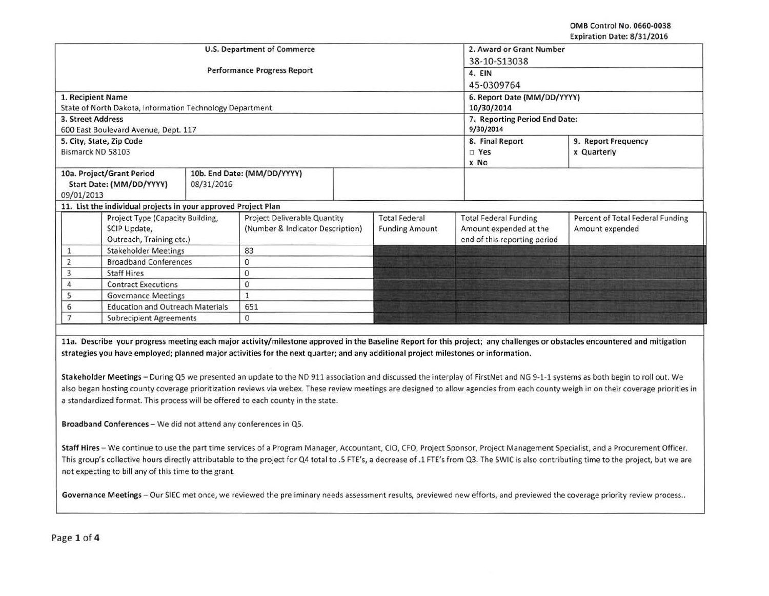OMB Control No. 0660-0038 Expiration Date: 8/31/2016

| <b>U.S. Department of Commerce</b>                                                                                                                                           | 2. Award or Grant Number            |                       |                              |                                  |  |  |
|------------------------------------------------------------------------------------------------------------------------------------------------------------------------------|-------------------------------------|-----------------------|------------------------------|----------------------------------|--|--|
|                                                                                                                                                                              | 38-10-S13038<br>4. EIN              |                       |                              |                                  |  |  |
| <b>Performance Progress Report</b>                                                                                                                                           |                                     |                       |                              |                                  |  |  |
|                                                                                                                                                                              | 45-0309764                          |                       |                              |                                  |  |  |
| 1. Recipient Name                                                                                                                                                            | 6. Report Date (MM/DD/YYYY)         |                       |                              |                                  |  |  |
| State of North Dakota, Information Technology Department                                                                                                                     | 10/30/2014                          |                       |                              |                                  |  |  |
| 3. Street Address                                                                                                                                                            | 7. Reporting Period End Date:       |                       |                              |                                  |  |  |
| 600 East Boulevard Avenue, Dept. 117                                                                                                                                         |                                     |                       | 9/30/2014                    |                                  |  |  |
| 5. City, State, Zip Code                                                                                                                                                     |                                     |                       | 8. Final Report              | 9. Report Frequency              |  |  |
| Bismarck ND 58103                                                                                                                                                            |                                     |                       | $\square$ Yes                | x Quarterly                      |  |  |
|                                                                                                                                                                              |                                     |                       | x No                         |                                  |  |  |
| 10a. Project/Grant Period                                                                                                                                                    | 10b. End Date: (MM/DD/YYYY)         |                       |                              |                                  |  |  |
| Start Date: (MM/DD/YYYY)<br>08/31/2016                                                                                                                                       |                                     |                       |                              |                                  |  |  |
| 09/01/2013                                                                                                                                                                   |                                     |                       |                              |                                  |  |  |
| 11. List the individual projects in your approved Project Plan                                                                                                               |                                     |                       |                              |                                  |  |  |
| Project Type (Capacity Building,                                                                                                                                             | <b>Project Deliverable Quantity</b> | <b>Total Federal</b>  | <b>Total Federal Funding</b> | Percent of Total Federal Funding |  |  |
| SCIP Update,                                                                                                                                                                 | (Number & Indicator Description)    | <b>Funding Amount</b> | Amount expended at the       | Amount expended                  |  |  |
| Outreach, Training etc.)                                                                                                                                                     |                                     |                       | end of this reporting period |                                  |  |  |
| <b>Stakeholder Meetings</b><br>1                                                                                                                                             | 83                                  |                       |                              |                                  |  |  |
| <b>Broadband Conferences</b><br>2                                                                                                                                            | 0                                   |                       |                              |                                  |  |  |
| <b>Staff Hires</b><br>3                                                                                                                                                      | 0                                   |                       |                              |                                  |  |  |
| <b>Contract Executions</b><br>4                                                                                                                                              | 0                                   |                       |                              |                                  |  |  |
| 5<br><b>Governance Meetings</b>                                                                                                                                              | $\mathbf{1}$                        |                       |                              |                                  |  |  |
| <b>Education and Outreach Materials</b><br>6                                                                                                                                 | 651                                 |                       |                              |                                  |  |  |
| $\overline{7}$<br><b>Subrecipient Agreements</b>                                                                                                                             | 0                                   |                       |                              |                                  |  |  |
|                                                                                                                                                                              |                                     |                       |                              |                                  |  |  |
| 11a. Describe your progress meeting each major activity/milestone approved in the Baseline Report for this project; any challenges or obstacles encountered and mitigation   |                                     |                       |                              |                                  |  |  |
| strategies you have employed; planned major activities for the next quarter; and any additional project milestones or information.                                           |                                     |                       |                              |                                  |  |  |
|                                                                                                                                                                              |                                     |                       |                              |                                  |  |  |
| Stakeholder Meetings - During Q5 we presented an update to the ND 911 association and discussed the interplay of FirstNet and NG 9-1-1 systems as both begin to roll out. We |                                     |                       |                              |                                  |  |  |

also began hosting county coverage prioritization reviews via webex. These review meetings are designed to allow agencies from each county weigh in on their coverage priorities in a standardized format. This process will be offered to each county in the state.

Broadband Conferences - We did not attend any conferences in Q5.

Staff Hires - We continue to use the part time services of a Program Manager, Accountant, CIO, CFO, Project Sponsor, Project Management Specialist, and a Procurement Officer. This group's collective hours directly attributable to the project for Q4 total to .5 FTE's, a decrease of .1 FTE's from Q3. The SWIC is also contributing time to the project, but we are not expecting to bill any of this time to the grant.

Governance Meetings - Our SIEC met once, we reviewed the preliminary needs assessment results, previewed new efforts, and previewed the coverage priority review process..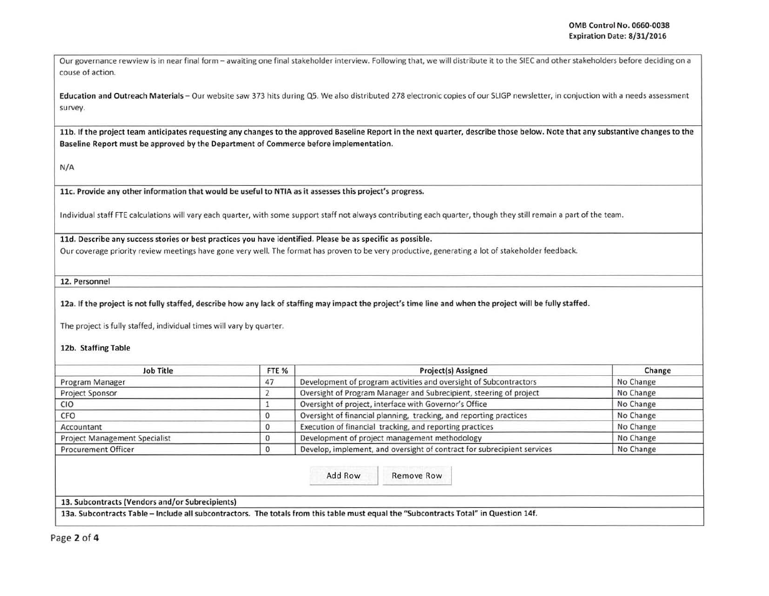Our governance rewview is in near final form - awaiting one final stakeholder interview. Following that, we will distribute it to the SIEC and other stakeholders before deciding on a couse of action.

Education and Outreach Materials - Our website saw 373 hits during Q5. We also distributed 278 electronic copies of our SLIGP newsletter, in conjuction with a needs assessment survey.

11b. If the project team anticipates requesting any changes to the approved Baseline Report in the next quarter, describe those below. Note that any substantive changes to the Baseline Report must be approved by the Department of Commerce before implementation.

N/A

llc. Provide any other information that would be useful to NTIA as it assesses this project's progress.

Individual staff FTE calculations will vary each quarter, with some support staff not always contributing each quarter, though they still remain a part of the team.

lld. Describe any success stories or best practices you have identified. Please be as specific as possible. I

Our coverage priority review meetings have gone very well. The format has proven to be very productive, generating a lot of stakeholder feedback.

12. Personnel

12a. If the project is not fully staffed, describe how any lack of staffing may impact the project's time line and when the project will be fully staffed.

The project is fully staffed, individual times will vary by quarter.

12b. Staffing Table

| <b>Job Title</b>                     | FTE % | Project(s) Assigned                                                     | Change    |  |
|--------------------------------------|-------|-------------------------------------------------------------------------|-----------|--|
| Program Manager                      | 47    | Development of program activities and oversight of Subcontractors       | No Change |  |
| Project Sponsor                      |       | Oversight of Program Manager and Subrecipient, steering of project      | No Change |  |
| CIO                                  |       | Oversight of project, interface with Governor's Office                  | No Change |  |
| CFO                                  |       | Oversight of financial planning, tracking, and reporting practices      | No Change |  |
| Accountant                           | υ     | Execution of financial tracking, and reporting practices                | No Change |  |
| <b>Project Management Specialist</b> |       | Development of project management methodology                           | No Change |  |
| <b>Procurement Officer</b>           |       | Develop, implement, and oversight of contract for subrecipient services | No Change |  |

13. Subcontracts (Vendors and/or Subrecipients)

13a. Subcontracts Table - Include all subcontractors. The totals from this table must equal the "Subcontracts Total" in Question 14f. -------- -- --------